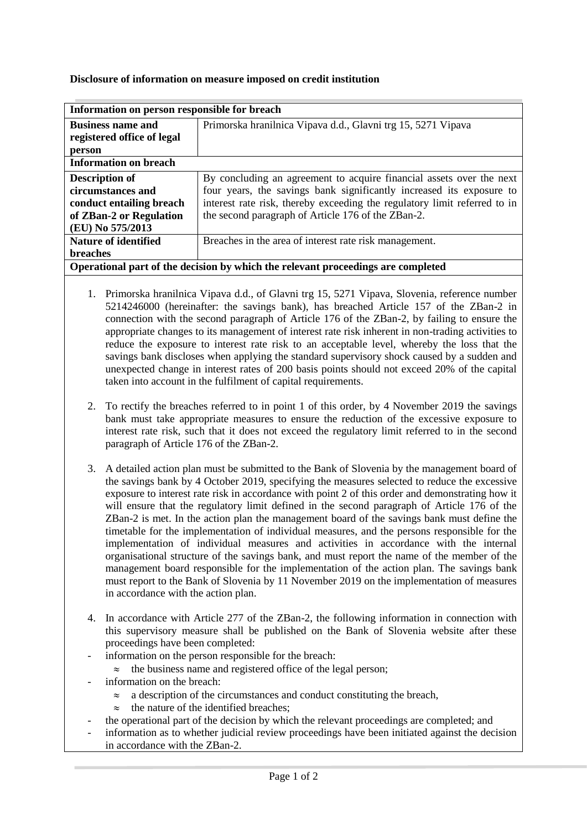## **Disclosure of information on measure imposed on credit institution**

| Information on person responsible for breach                                     |                                                                           |
|----------------------------------------------------------------------------------|---------------------------------------------------------------------------|
| <b>Business name and</b>                                                         | Primorska hranilnica Vipava d.d., Glavni trg 15, 5271 Vipava              |
| registered office of legal                                                       |                                                                           |
| person                                                                           |                                                                           |
| <b>Information on breach</b>                                                     |                                                                           |
| <b>Description of</b>                                                            | By concluding an agreement to acquire financial assets over the next      |
| circumstances and                                                                | four years, the savings bank significantly increased its exposure to      |
| conduct entailing breach                                                         | interest rate risk, thereby exceeding the regulatory limit referred to in |
| of ZBan-2 or Regulation                                                          | the second paragraph of Article 176 of the ZBan-2.                        |
| (EU) No 575/2013                                                                 |                                                                           |
| <b>Nature of identified</b>                                                      | Breaches in the area of interest rate risk management.                    |
| <b>breaches</b>                                                                  |                                                                           |
| Operational part of the decision by which the relevant proceedings are completed |                                                                           |

- 1. Primorska hranilnica Vipava d.d., of Glavni trg 15, 5271 Vipava, Slovenia, reference number 5214246000 (hereinafter: the savings bank), has breached Article 157 of the ZBan-2 in connection with the second paragraph of Article 176 of the ZBan-2, by failing to ensure the appropriate changes to its management of interest rate risk inherent in non-trading activities to reduce the exposure to interest rate risk to an acceptable level, whereby the loss that the savings bank discloses when applying the standard supervisory shock caused by a sudden and unexpected change in interest rates of 200 basis points should not exceed 20% of the capital taken into account in the fulfilment of capital requirements.
- 2. To rectify the breaches referred to in point 1 of this order, by 4 November 2019 the savings bank must take appropriate measures to ensure the reduction of the excessive exposure to interest rate risk, such that it does not exceed the regulatory limit referred to in the second paragraph of Article 176 of the ZBan-2.
- 3. A detailed action plan must be submitted to the Bank of Slovenia by the management board of the savings bank by 4 October 2019, specifying the measures selected to reduce the excessive exposure to interest rate risk in accordance with point 2 of this order and demonstrating how it will ensure that the regulatory limit defined in the second paragraph of Article 176 of the ZBan-2 is met. In the action plan the management board of the savings bank must define the timetable for the implementation of individual measures, and the persons responsible for the implementation of individual measures and activities in accordance with the internal organisational structure of the savings bank, and must report the name of the member of the management board responsible for the implementation of the action plan. The savings bank must report to the Bank of Slovenia by 11 November 2019 on the implementation of measures in accordance with the action plan.
- 4. In accordance with Article 277 of the ZBan-2, the following information in connection with this supervisory measure shall be published on the Bank of Slovenia website after these proceedings have been completed:
	- information on the person responsible for the breach:
		- $\approx$  the business name and registered office of the legal person;
- information on the breach:
	- $\approx$  a description of the circumstances and conduct constituting the breach,
	- $\approx$  the nature of the identified breaches:
	- the operational part of the decision by which the relevant proceedings are completed; and
- information as to whether judicial review proceedings have been initiated against the decision in accordance with the ZBan-2.